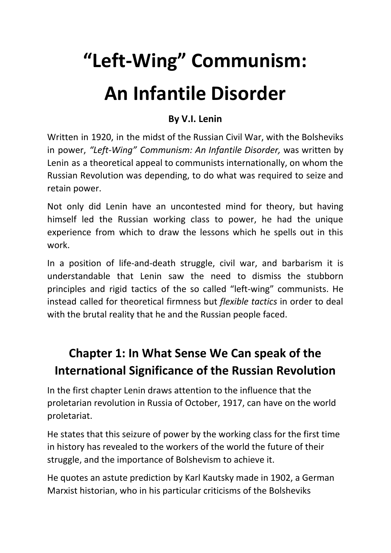# **"Left-Wing" Communism: An Infantile Disorder**

#### **By V.I. Lenin**

Written in 1920, in the midst of the Russian Civil War, with the Bolsheviks in power, *"Left-Wing" Communism: An Infantile Disorder,* was written by Lenin as a theoretical appeal to communists internationally, on whom the Russian Revolution was depending, to do what was required to seize and retain power.

Not only did Lenin have an uncontested mind for theory, but having himself led the Russian working class to power, he had the unique experience from which to draw the lessons which he spells out in this work.

In a position of life-and-death struggle, civil war, and barbarism it is understandable that Lenin saw the need to dismiss the stubborn principles and rigid tactics of the so called "left-wing" communists. He instead called for theoretical firmness but *flexible tactics* in order to deal with the brutal reality that he and the Russian people faced.

# **Chapter 1: In What Sense We Can speak of the International Significance of the Russian Revolution**

In the first chapter Lenin draws attention to the influence that the proletarian revolution in Russia of October, 1917, can have on the world proletariat.

He states that this seizure of power by the working class for the first time in history has revealed to the workers of the world the future of their struggle, and the importance of Bolshevism to achieve it.

He quotes an astute prediction by Karl Kautsky made in 1902, a German Marxist historian, who in his particular criticisms of the Bolsheviks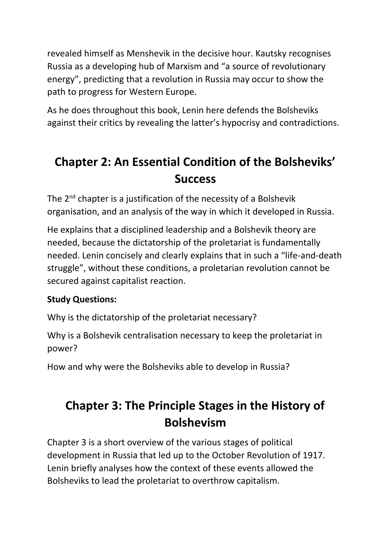revealed himself as Menshevik in the decisive hour. Kautsky recognises Russia as a developing hub of Marxism and "a source of revolutionary energy", predicting that a revolution in Russia may occur to show the path to progress for Western Europe.

As he does throughout this book, Lenin here defends the Bolsheviks against their critics by revealing the latter's hypocrisy and contradictions.

## **Chapter 2: An Essential Condition of the Bolsheviks' Success**

The  $2^{nd}$  chapter is a justification of the necessity of a Bolshevik organisation, and an analysis of the way in which it developed in Russia.

He explains that a disciplined leadership and a Bolshevik theory are needed, because the dictatorship of the proletariat is fundamentally needed. Lenin concisely and clearly explains that in such a "life-and-death struggle", without these conditions, a proletarian revolution cannot be secured against capitalist reaction.

#### **Study Questions:**

Why is the dictatorship of the proletariat necessary?

Why is a Bolshevik centralisation necessary to keep the proletariat in power?

How and why were the Bolsheviks able to develop in Russia?

# **Chapter 3: The Principle Stages in the History of Bolshevism**

Chapter 3 is a short overview of the various stages of political development in Russia that led up to the October Revolution of 1917. Lenin briefly analyses how the context of these events allowed the Bolsheviks to lead the proletariat to overthrow capitalism.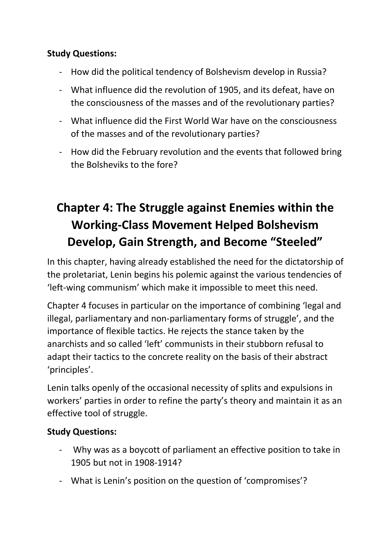#### **Study Questions:**

- How did the political tendency of Bolshevism develop in Russia?
- What influence did the revolution of 1905, and its defeat, have on the consciousness of the masses and of the revolutionary parties?
- What influence did the First World War have on the consciousness of the masses and of the revolutionary parties?
- How did the February revolution and the events that followed bring the Bolsheviks to the fore?

# **Chapter 4: The Struggle against Enemies within the Working-Class Movement Helped Bolshevism Develop, Gain Strength, and Become "Steeled"**

In this chapter, having already established the need for the dictatorship of the proletariat, Lenin begins his polemic against the various tendencies of 'left-wing communism' which make it impossible to meet this need.

Chapter 4 focuses in particular on the importance of combining 'legal and illegal, parliamentary and non-parliamentary forms of struggle', and the importance of flexible tactics. He rejects the stance taken by the anarchists and so called 'left' communists in their stubborn refusal to adapt their tactics to the concrete reality on the basis of their abstract 'principles'.

Lenin talks openly of the occasional necessity of splits and expulsions in workers' parties in order to refine the party's theory and maintain it as an effective tool of struggle.

#### **Study Questions:**

- Why was as a boycott of parliament an effective position to take in 1905 but not in 1908-1914?
- What is Lenin's position on the question of 'compromises'?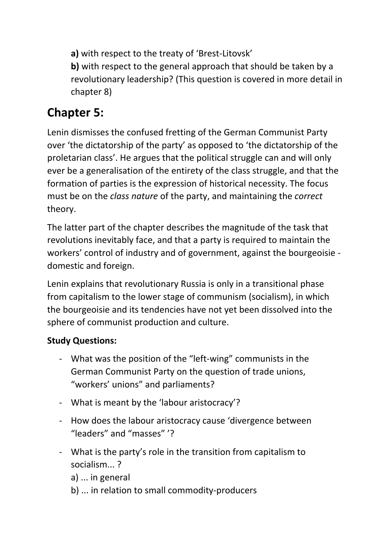**a)** with respect to the treaty of 'Brest-Litovsk'

**b)** with respect to the general approach that should be taken by a revolutionary leadership? (This question is covered in more detail in chapter 8)

## **Chapter 5:**

Lenin dismisses the confused fretting of the German Communist Party over 'the dictatorship of the party' as opposed to 'the dictatorship of the proletarian class'. He argues that the political struggle can and will only ever be a generalisation of the entirety of the class struggle, and that the formation of parties is the expression of historical necessity. The focus must be on the *class nature* of the party, and maintaining the *correct* theory.

The latter part of the chapter describes the magnitude of the task that revolutions inevitably face, and that a party is required to maintain the workers' control of industry and of government, against the bourgeoisie domestic and foreign.

Lenin explains that revolutionary Russia is only in a transitional phase from capitalism to the lower stage of communism (socialism), in which the bourgeoisie and its tendencies have not yet been dissolved into the sphere of communist production and culture.

#### **Study Questions:**

- What was the position of the "left-wing" communists in the German Communist Party on the question of trade unions, "workers' unions" and parliaments?
- What is meant by the 'labour aristocracy'?
- How does the labour aristocracy cause 'divergence between "leaders" and "masses" '?
- What is the party's role in the transition from capitalism to socialism... ?
	- a) ... in general
	- b) ... in relation to small commodity-producers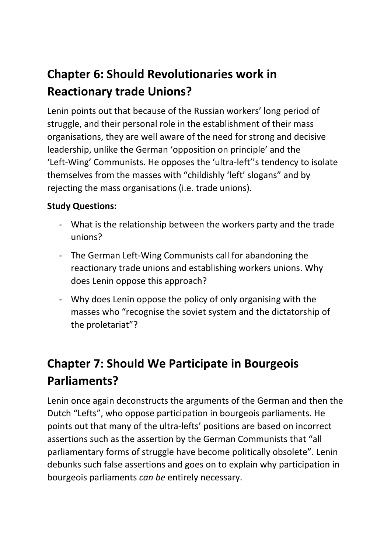# **Chapter 6: Should Revolutionaries work in Reactionary trade Unions?**

Lenin points out that because of the Russian workers' long period of struggle, and their personal role in the establishment of their mass organisations, they are well aware of the need for strong and decisive leadership, unlike the German 'opposition on principle' and the 'Left-Wing' Communists. He opposes the 'ultra-left''s tendency to isolate themselves from the masses with "childishly 'left' slogans" and by rejecting the mass organisations (i.e. trade unions).

#### **Study Questions:**

- What is the relationship between the workers party and the trade unions?
- The German Left-Wing Communists call for abandoning the reactionary trade unions and establishing workers unions. Why does Lenin oppose this approach?
- Why does Lenin oppose the policy of only organising with the masses who "recognise the soviet system and the dictatorship of the proletariat"?

## **Chapter 7: Should We Participate in Bourgeois Parliaments?**

Lenin once again deconstructs the arguments of the German and then the Dutch "Lefts", who oppose participation in bourgeois parliaments. He points out that many of the ultra-lefts' positions are based on incorrect assertions such as the assertion by the German Communists that "all parliamentary forms of struggle have become politically obsolete". Lenin debunks such false assertions and goes on to explain why participation in bourgeois parliaments *can be* entirely necessary.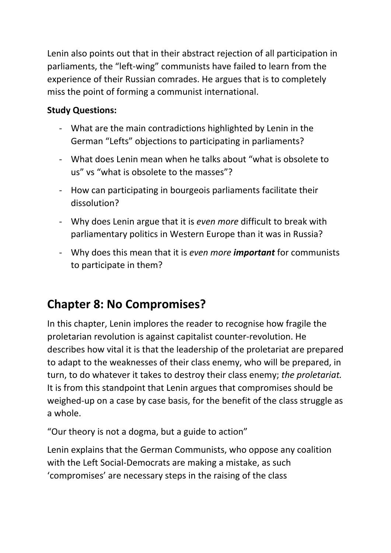Lenin also points out that in their abstract rejection of all participation in parliaments, the "left-wing" communists have failed to learn from the experience of their Russian comrades. He argues that is to completely miss the point of forming a communist international.

#### **Study Questions:**

- What are the main contradictions highlighted by Lenin in the German "Lefts" objections to participating in parliaments?
- What does Lenin mean when he talks about "what is obsolete to us" vs "what is obsolete to the masses"?
- How can participating in bourgeois parliaments facilitate their dissolution?
- Why does Lenin argue that it is *even more* difficult to break with parliamentary politics in Western Europe than it was in Russia?
- Why does this mean that it is *even more important* for communists to participate in them?

## **Chapter 8: No Compromises?**

In this chapter, Lenin implores the reader to recognise how fragile the proletarian revolution is against capitalist counter-revolution. He describes how vital it is that the leadership of the proletariat are prepared to adapt to the weaknesses of their class enemy, who will be prepared, in turn, to do whatever it takes to destroy their class enemy; *the proletariat.* It is from this standpoint that Lenin argues that compromises should be weighed-up on a case by case basis, for the benefit of the class struggle as a whole.

"Our theory is not a dogma, but a guide to action"

Lenin explains that the German Communists, who oppose any coalition with the Left Social-Democrats are making a mistake, as such 'compromises' are necessary steps in the raising of the class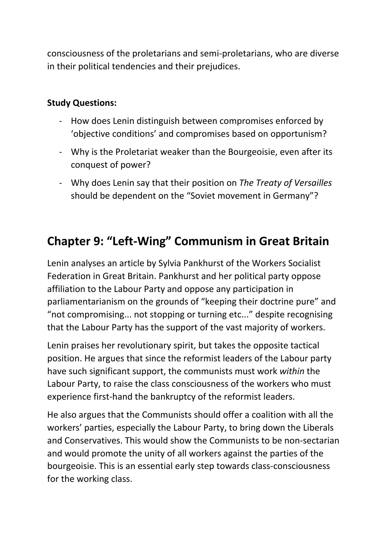consciousness of the proletarians and semi-proletarians, who are diverse in their political tendencies and their prejudices.

#### **Study Questions:**

- How does Lenin distinguish between compromises enforced by 'objective conditions' and compromises based on opportunism?
- Why is the Proletariat weaker than the Bourgeoisie, even after its conquest of power?
- Why does Lenin say that their position on *The Treaty of Versailles* should be dependent on the "Soviet movement in Germany"?

### **Chapter 9: "Left-Wing" Communism in Great Britain**

Lenin analyses an article by Sylvia Pankhurst of the Workers Socialist Federation in Great Britain. Pankhurst and her political party oppose affiliation to the Labour Party and oppose any participation in parliamentarianism on the grounds of "keeping their doctrine pure" and "not compromising... not stopping or turning etc..." despite recognising that the Labour Party has the support of the vast majority of workers.

Lenin praises her revolutionary spirit, but takes the opposite tactical position. He argues that since the reformist leaders of the Labour party have such significant support, the communists must work *within* the Labour Party, to raise the class consciousness of the workers who must experience first-hand the bankruptcy of the reformist leaders.

He also argues that the Communists should offer a coalition with all the workers' parties, especially the Labour Party, to bring down the Liberals and Conservatives. This would show the Communists to be non-sectarian and would promote the unity of all workers against the parties of the bourgeoisie. This is an essential early step towards class-consciousness for the working class.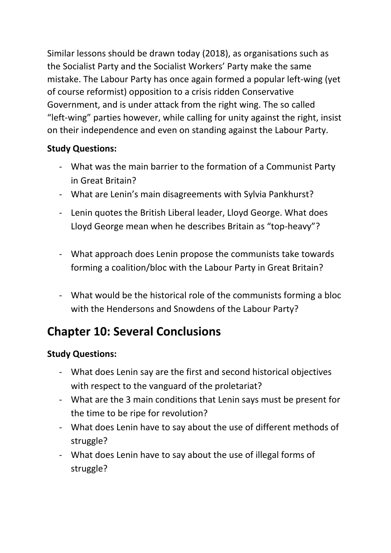Similar lessons should be drawn today (2018), as organisations such as the Socialist Party and the Socialist Workers' Party make the same mistake. The Labour Party has once again formed a popular left-wing (yet of course reformist) opposition to a crisis ridden Conservative Government, and is under attack from the right wing. The so called "left-wing" parties however, while calling for unity against the right, insist on their independence and even on standing against the Labour Party.

#### **Study Questions:**

- What was the main barrier to the formation of a Communist Party in Great Britain?
- What are Lenin's main disagreements with Sylvia Pankhurst?
- Lenin quotes the British Liberal leader, Lloyd George. What does Lloyd George mean when he describes Britain as "top-heavy"?
- What approach does Lenin propose the communists take towards forming a coalition/bloc with the Labour Party in Great Britain?
- What would be the historical role of the communists forming a bloc with the Hendersons and Snowdens of the Labour Party?

## **Chapter 10: Several Conclusions**

#### **Study Questions:**

- What does Lenin say are the first and second historical objectives with respect to the vanguard of the proletariat?
- What are the 3 main conditions that Lenin says must be present for the time to be ripe for revolution?
- What does Lenin have to say about the use of different methods of struggle?
- What does Lenin have to say about the use of illegal forms of struggle?